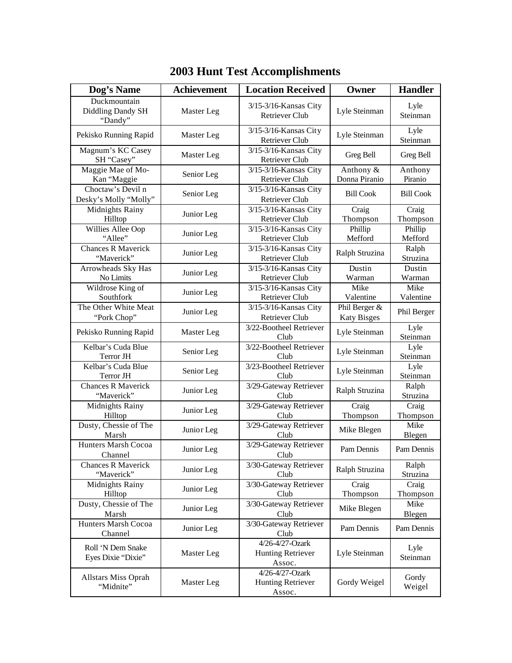| Dog's Name                                   | <b>Achievement</b> | <b>Location Received</b>                              | Owner                               | <b>Handler</b>     |
|----------------------------------------------|--------------------|-------------------------------------------------------|-------------------------------------|--------------------|
| Duckmountain<br>Diddling Dandy SH<br>"Dandy" | Master Leg         | $3/15-3/16$ -Kansas City<br><b>Retriever Club</b>     | Lyle Steinman                       | Lyle<br>Steinman   |
| Pekisko Running Rapid                        | Master Leg         | 3/15-3/16-Kansas City<br><b>Retriever Club</b>        | Lyle Steinman                       | Lyle<br>Steinman   |
| Magnum's KC Casey<br>SH "Casey"              | Master Leg         | 3/15-3/16-Kansas City<br>Retriever Club               | Greg Bell                           | Greg Bell          |
| Maggie Mae of Mo-<br>Kan "Maggie             | Senior Leg         | 3/15-3/16-Kansas City<br>Retriever Club               | Anthony &<br>Donna Piranio          | Anthony<br>Piranio |
| Choctaw's Devil n<br>Desky's Molly "Molly"   | Senior Leg         | 3/15-3/16-Kansas City<br>Retriever Club               | <b>Bill Cook</b>                    | <b>Bill Cook</b>   |
| Midnights Rainy<br>Hilltop                   | Junior Leg         | 3/15-3/16-Kansas City<br><b>Retriever Club</b>        | Craig<br>Thompson                   | Craig<br>Thompson  |
| Willies Allee Oop<br>"Allee"                 | Junior Leg         | 3/15-3/16-Kansas City<br>Retriever Club               | Phillip<br>Mefford                  | Phillip<br>Mefford |
| <b>Chances R Maverick</b><br>"Maverick"      | Junior Leg         | 3/15-3/16-Kansas City<br><b>Retriever Club</b>        | Ralph Struzina                      | Ralph<br>Struzina  |
| Arrowheads Sky Has<br>No Limits              | Junior Leg         | 3/15-3/16-Kansas City<br>Retriever Club               | Dustin<br>Warman                    | Dustin<br>Warman   |
| Wildrose King of<br>Southfork                | Junior Leg         | 3/15-3/16-Kansas City<br>Retriever Club               | Mike<br>Valentine                   | Mike<br>Valentine  |
| The Other White Meat<br>"Pork Chop"          | Junior Leg         | 3/15-3/16-Kansas City<br><b>Retriever Club</b>        | Phil Berger &<br><b>Katy Bisges</b> | Phil Berger        |
| Pekisko Running Rapid                        | Master Leg         | 3/22-Bootheel Retriever<br>Club                       | Lyle Steinman                       | Lyle<br>Steinman   |
| Kelbar's Cuda Blue<br>Terror JH              | Senior Leg         | 3/22-Bootheel Retriever<br>Club                       | Lyle Steinman                       | Lyle<br>Steinman   |
| Kelbar's Cuda Blue<br>Terror JH              | Senior Leg         | 3/23-Bootheel Retriever<br>Club                       | Lyle Steinman                       | Lyle<br>Steinman   |
| <b>Chances R Maverick</b><br>"Maverick"      | Junior Leg         | 3/29-Gateway Retriever<br>Club                        | Ralph Struzina                      | Ralph<br>Struzina  |
| Midnights Rainy<br>Hilltop                   | Junior Leg         | 3/29-Gateway Retriever<br>Club                        | Craig<br>Thompson                   | Craig<br>Thompson  |
| Dusty, Chessie of The<br>Marsh               | Junior Leg         | 3/29-Gateway Retriever<br>Club                        | Mike Blegen                         | Mike<br>Blegen     |
| Hunters Marsh Cocoa<br>Channel               | Junior Leg         | 3/29-Gateway Retriever<br>Club                        | Pam Dennis                          | Pam Dennis         |
| Chances R Maverick<br>"Maverick"             | Junior Leg         | 3/30-Gateway Retriever<br>Club                        | Ralph Struzina                      | Ralph<br>Struzina  |
| Midnights Rainy<br>Hilltop                   | Junior Leg         | 3/30-Gateway Retriever<br>Club                        | Craig<br>Thompson                   | Craig<br>Thompson  |
| Dusty, Chessie of The<br>Marsh               | Junior Leg         | 3/30-Gateway Retriever<br>Club                        | Mike Blegen                         | Mike<br>Blegen     |
| Hunters Marsh Cocoa<br>Channel               | Junior Leg         | 3/30-Gateway Retriever<br>Club                        | Pam Dennis                          | Pam Dennis         |
| Roll 'N Dem Snake<br>Eyes Dixie "Dixie"      | Master Leg         | 4/26-4/27-Ozark<br><b>Hunting Retriever</b><br>Assoc. | Lyle Steinman                       | Lyle<br>Steinman   |
| Allstars Miss Oprah<br>"Midnite"             | Master Leg         | 4/26-4/27-Ozark<br>Hunting Retriever<br>Assoc.        | Gordy Weigel                        | Gordy<br>Weigel    |

## **2003 Hunt Test Accomplishments**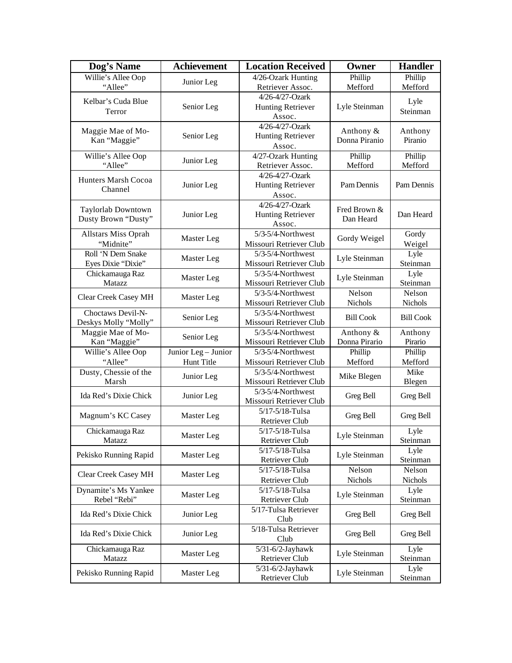| Dog's Name                                | <b>Achievement</b>  | <b>Location Received</b>                     | Owner            | <b>Handler</b>     |
|-------------------------------------------|---------------------|----------------------------------------------|------------------|--------------------|
| Willie's Allee Oop                        | Junior Leg          | 4/26-Ozark Hunting                           | Phillip          | Phillip            |
| "Allee"                                   |                     | Retriever Assoc.                             | Mefford          | Mefford            |
| Kelbar's Cuda Blue                        |                     | 4/26-4/27-Ozark                              |                  | Lyle               |
| Terror                                    | Senior Leg          | <b>Hunting Retriever</b>                     | Lyle Steinman    | Steinman           |
|                                           |                     | Assoc.                                       |                  |                    |
| Maggie Mae of Mo-                         |                     | 4/26-4/27-Ozark                              | Anthony &        | Anthony            |
| Kan "Maggie"                              | Senior Leg          | <b>Hunting Retriever</b><br>Assoc.           | Donna Piranio    | Piranio            |
| Willie's Allee Oop                        |                     | 4/27-Ozark Hunting                           | Phillip          | Phillip            |
| "Allee"                                   | Junior Leg          | Retriever Assoc.                             | Mefford          | Mefford            |
|                                           |                     | 4/26-4/27-Ozark                              |                  |                    |
| Hunters Marsh Cocoa                       | Junior Leg          | <b>Hunting Retriever</b>                     | Pam Dennis       | Pam Dennis         |
| Channel                                   |                     | Assoc.                                       |                  |                    |
|                                           |                     | 4/26-4/27-Ozark                              | Fred Brown &     |                    |
| Taylorlab Downtown<br>Dusty Brown "Dusty" | Junior Leg          | <b>Hunting Retriever</b>                     | Dan Heard        | Dan Heard          |
|                                           |                     | Assoc.                                       |                  |                    |
| Allstars Miss Oprah                       | Master Leg          | 5/3-5/4-Northwest                            | Gordy Weigel     | Gordy              |
| "Midnite"                                 |                     | Missouri Retriever Club                      |                  | Weigel             |
| Roll 'N Dem Snake                         | Master Leg          | 5/3-5/4-Northwest                            | Lyle Steinman    | Lyle               |
| Eyes Dixie "Dixie"                        |                     | Missouri Retriever Club                      |                  | Steinman           |
| Chickamauga Raz                           | Master Leg          | 5/3-5/4-Northwest                            | Lyle Steinman    | Lyle               |
| Matazz                                    |                     | Missouri Retriever Club<br>5/3-5/4-Northwest | Nelson           | Steinman<br>Nelson |
| Clear Creek Casey MH                      | Master Leg          | Missouri Retriever Club                      | Nichols          | Nichols            |
| Choctaws Devil-N-                         |                     | 5/3-5/4-Northwest                            | <b>Bill Cook</b> |                    |
| Deskys Molly "Molly"                      | Senior Leg          | Missouri Retriever Club                      |                  | <b>Bill Cook</b>   |
| Maggie Mae of Mo-                         |                     | 5/3-5/4-Northwest                            | Anthony $\&$     | Anthony            |
| Kan "Maggie"                              | Senior Leg          | Missouri Retriever Club                      | Donna Pirario    | Pirario            |
| Willie's Allee Oop                        | Junior Leg - Junior | $5/3-5/4$ -Northwest                         | Phillip          | Phillip            |
| "Allee"                                   | Hunt Title          | Missouri Retriever Club                      | Mefford          | Mefford            |
| Dusty, Chessie of the                     | Junior Leg          | 5/3-5/4-Northwest                            | Mike Blegen      | Mike               |
| Marsh                                     |                     | Missouri Retriever Club                      |                  | Blegen             |
| Ida Red's Dixie Chick                     | Junior Leg          | 5/3-5/4-Northwest                            | Greg Bell        | Greg Bell          |
|                                           |                     | Missouri Retriever Club                      |                  |                    |
| Magnum's KC Casey                         | Master Leg          | 5/17-5/18-Tulsa                              | Greg Bell        | Greg Bell          |
|                                           |                     | Retriever Club                               |                  |                    |
| Chickamauga Raz                           | Master Leg          | 5/17-5/18-Tulsa                              | Lyle Steinman    | Lyle               |
| Matazz                                    |                     | Retriever Club<br>5/17-5/18-Tulsa            |                  | Steinman<br>Lyle   |
| Pekisko Running Rapid                     | Master Leg          | Retriever Club                               | Lyle Steinman    | Steinman           |
|                                           |                     | 5/17-5/18-Tulsa                              | Nelson           | Nelson             |
| Clear Creek Casey MH                      | Master Leg          | Retriever Club                               | Nichols          | Nichols            |
| Dynamite's Ms Yankee                      |                     | 5/17-5/18-Tulsa                              |                  | Lyle               |
| Rebel "Rebi"                              | Master Leg          | Retriever Club                               | Lyle Steinman    | Steinman           |
|                                           |                     | 5/17-Tulsa Retriever                         |                  |                    |
| Ida Red's Dixie Chick                     | Junior Leg          | Club                                         | Greg Bell        | Greg Bell          |
| Ida Red's Dixie Chick                     | Junior Leg          | 5/18-Tulsa Retriever                         | Greg Bell        | Greg Bell          |
|                                           |                     | Club                                         |                  |                    |
| Chickamauga Raz                           | Master Leg          | $\overline{5/3}$ 1-6/2-Jayhawk               | Lyle Steinman    | Lyle               |
| Matazz                                    |                     | Retriever Club                               |                  | Steinman           |
| Pekisko Running Rapid                     | Master Leg          | $5/31-6/2$ -Jayhawk                          | Lyle Steinman    | Lyle               |
|                                           |                     | Retriever Club                               |                  | Steinman           |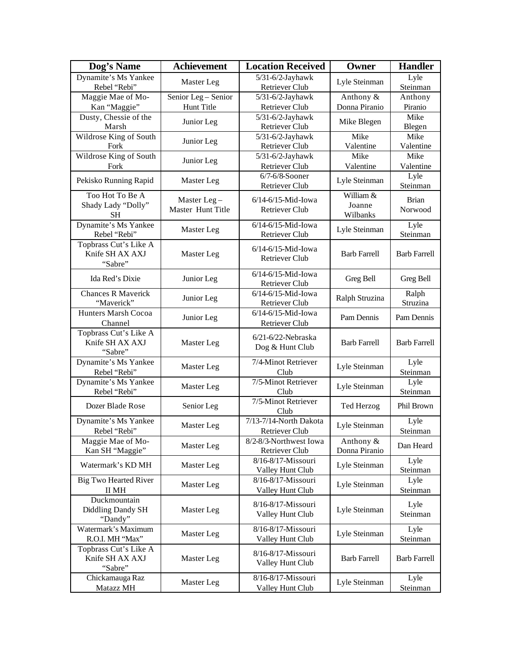| Dog's Name                                          | <b>Achievement</b>               | <b>Location Received</b>                      | Owner                           | <b>Handler</b>          |
|-----------------------------------------------------|----------------------------------|-----------------------------------------------|---------------------------------|-------------------------|
| Dynamite's Ms Yankee<br>Rebel "Rebi"                | Master Leg                       | $5/31-6/2$ -Jayhawk<br>Retriever Club         | Lyle Steinman                   | Lyle<br>Steinman        |
| Maggie Mae of Mo-                                   | Senior Leg - Senior              | $5/31-6/2$ -Jayhawk                           | Anthony &                       | Anthony                 |
| Kan "Maggie"                                        | Hunt Title                       | Retriever Club                                | Donna Piranio                   | Piranio                 |
| Dusty, Chessie of the<br>Marsh                      | Junior Leg                       | $5/31-6/2$ -Jayhawk<br>Retriever Club         | Mike Blegen                     | Mike<br>Blegen          |
| Wildrose King of South                              | Junior Leg                       | 5/31-6/2-Jayhawk                              | Mike                            | Mike                    |
| Fork                                                |                                  | Retriever Club                                | Valentine                       | Valentine               |
| Wildrose King of South<br>Fork                      | Junior Leg                       | 5/31-6/2-Jayhawk<br>Retriever Club            | Mike<br>Valentine               | Mike<br>Valentine       |
| Pekisko Running Rapid                               | Master Leg                       | $6/7-6/8$ -Sooner<br>Retriever Club           | Lyle Steinman                   | Lyle<br>Steinman        |
| Too Hot To Be A<br>Shady Lady "Dolly"<br><b>SH</b>  | Master Leg-<br>Master Hunt Title | $6/14 - 6/15$ -Mid-Iowa<br>Retriever Club     | William &<br>Joanne<br>Wilbanks | <b>Brian</b><br>Norwood |
| Dynamite's Ms Yankee<br>Rebel "Rebi"                | Master Leg                       | 6/14-6/15-Mid-Iowa<br>Retriever Club          | Lyle Steinman                   | Lyle<br>Steinman        |
| Topbrass Cut's Like A<br>Knife SH AX AXJ<br>"Sabre" | Master Leg                       | 6/14-6/15-Mid-Iowa<br><b>Retriever Club</b>   | <b>Barb Farrell</b>             | <b>Barb Farrell</b>     |
| Ida Red's Dixie                                     | Junior Leg                       | 6/14-6/15-Mid-Iowa<br>Retriever Club          | Greg Bell                       | Greg Bell               |
| <b>Chances R Maverick</b><br>"Maverick"             | Junior Leg                       | 6/14-6/15-Mid-Iowa<br>Retriever Club          | Ralph Struzina                  | Ralph<br>Struzina       |
| Hunters Marsh Cocoa<br>Channel                      | Junior Leg                       | 6/14-6/15-Mid-Iowa<br>Retriever Club          | Pam Dennis                      | Pam Dennis              |
| Topbrass Cut's Like A<br>Knife SH AX AXJ<br>"Sabre" | Master Leg                       | $6/21 - 6/22$ -Nebraska<br>Dog & Hunt Club    | <b>Barb Farrell</b>             | <b>Barb Farrell</b>     |
| Dynamite's Ms Yankee<br>Rebel "Rebi"                | Master Leg                       | 7/4-Minot Retriever<br>Club                   | Lyle Steinman                   | Lyle<br>Steinman        |
| Dynamite's Ms Yankee<br>Rebel "Rebi"                | Master Leg                       | 7/5-Minot Retriever<br>Club                   | Lyle Steinman                   | Lyle<br>Steinman        |
| Dozer Blade Rose                                    | Senior Leg                       | 7/5-Minot Retriever<br>Club                   | Ted Herzog                      | Phil Brown              |
| Dynamite's Ms Yankee<br>Rebel "Rebi"                | Master Leg                       | $7/13-7/14$ -North Dakota<br>Retriever Club   | Lyle Steinman                   | Lyle<br>Steinman        |
| Maggie Mae of Mo-<br>Kan SH "Maggie"                | Master Leg                       | 8/2-8/3-Northwest Iowa<br>Retriever Club      | Anthony &<br>Donna Piranio      | Dan Heard               |
| Watermark's KD MH                                   | Master Leg                       | 8/16-8/17-Missouri<br>Valley Hunt Club        | Lyle Steinman                   | Lyle<br>Steinman        |
| <b>Big Two Hearted River</b><br>II MH               | Master Leg                       | 8/16-8/17-Missouri<br>Valley Hunt Club        | Lyle Steinman                   | Lyle<br>Steinman        |
| Duckmountain<br>Diddling Dandy SH<br>"Dandy"        | Master Leg                       | 8/16-8/17-Missouri<br>Valley Hunt Club        | Lyle Steinman                   | Lyle<br>Steinman        |
| Watermark's Maximum<br>R.O.I. MH "Max"              | Master Leg                       | 8/16-8/17-Missouri<br>Valley Hunt Club        | Lyle Steinman                   | Lyle<br>Steinman        |
| Topbrass Cut's Like A<br>Knife SH AX AXJ<br>"Sabre" | Master Leg                       | 8/16-8/17-Missouri<br>Valley Hunt Club        | <b>Barb Farrell</b>             | <b>Barb Farrell</b>     |
| Chickamauga Raz<br>Matazz MH                        | Master Leg                       | 8/16-8/17-Missouri<br><b>Valley Hunt Club</b> | Lyle Steinman                   | Lyle<br>Steinman        |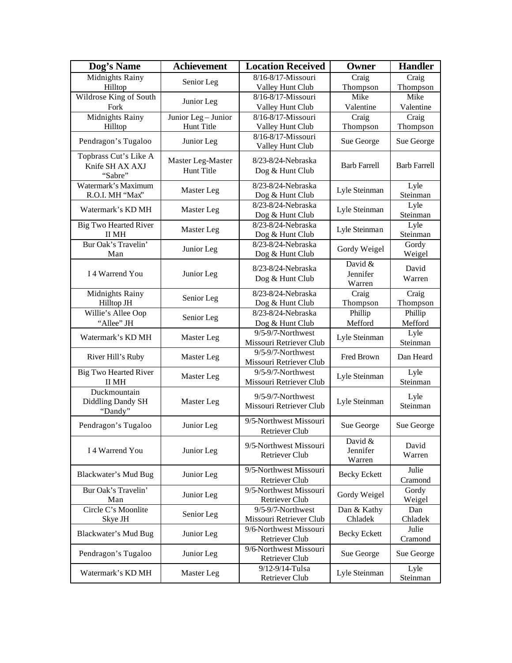| Dog's Name                                          | <b>Achievement</b>                     | <b>Location Received</b>                          | Owner                         | <b>Handler</b>      |
|-----------------------------------------------------|----------------------------------------|---------------------------------------------------|-------------------------------|---------------------|
| Midnights Rainy                                     | Senior Leg                             | 8/16-8/17-Missouri                                | Craig                         | Craig               |
| Hilltop                                             |                                        | Valley Hunt Club                                  | Thompson                      | Thompson            |
| Wildrose King of South                              | Junior Leg                             | 8/16-8/17-Missouri                                | Mike                          | Mike                |
| Fork                                                |                                        | Valley Hunt Club                                  | Valentine                     | Valentine           |
| Midnights Rainy                                     | Junior Leg - Junior                    | 8/16-8/17-Missouri                                | Craig                         | Craig               |
| Hilltop                                             | Hunt Title                             | Valley Hunt Club                                  | Thompson                      | Thompson            |
| Pendragon's Tugaloo                                 | Junior Leg                             | 8/16-8/17-Missouri<br>Valley Hunt Club            | Sue George                    | Sue George          |
| Topbrass Cut's Like A<br>Knife SH AX AXJ<br>"Sabre" | Master Leg-Master<br><b>Hunt Title</b> | 8/23-8/24-Nebraska<br>Dog & Hunt Club             | <b>Barb Farrell</b>           | <b>Barb Farrell</b> |
| Watermark's Maximum<br>R.O.I. MH "Max"              | Master Leg                             | 8/23-8/24-Nebraska<br>Dog & Hunt Club             | Lyle Steinman                 | Lyle<br>Steinman    |
| Watermark's KD MH                                   | Master Leg                             | 8/23-8/24-Nebraska<br>Dog & Hunt Club             | Lyle Steinman                 | Lyle<br>Steinman    |
| <b>Big Two Hearted River</b><br>II MH               | Master Leg                             | 8/23-8/24-Nebraska<br>Dog & Hunt Club             | Lyle Steinman                 | Lyle<br>Steinman    |
| Bur Oak's Travelin'<br>Man                          | Junior Leg                             | 8/23-8/24-Nebraska<br>Dog & Hunt Club             | Gordy Weigel                  | Gordy<br>Weigel     |
| I 4 Warrend You                                     | Junior Leg                             | 8/23-8/24-Nebraska<br>Dog & Hunt Club             | David &<br>Jennifer<br>Warren | David<br>Warren     |
| Midnights Rainy<br>Hilltop JH                       | Senior Leg                             | 8/23-8/24-Nebraska<br>Dog & Hunt Club             | Craig<br>Thompson             | Craig<br>Thompson   |
| Willie's Allee Oop<br>"Allee" JH                    | Senior Leg                             | 8/23-8/24-Nebraska<br>Dog & Hunt Club             | Phillip<br>Mefford            | Phillip<br>Mefford  |
| Watermark's KD MH                                   | Master Leg                             | 9/5-9/7-Northwest<br>Missouri Retriever Club      | Lyle Steinman                 | Lyle<br>Steinman    |
| River Hill's Ruby                                   | Master Leg                             | 9/5-9/7-Northwest<br>Missouri Retriever Club      | Fred Brown                    | Dan Heard           |
| <b>Big Two Hearted River</b><br>II MH               | Master Leg                             | 9/5-9/7-Northwest<br>Missouri Retriever Club      | Lyle Steinman                 | Lyle<br>Steinman    |
| Duckmountain<br>Diddling Dandy SH<br>"Dandy"        | Master Leg                             | $9/5 - 9/7$ -Northwest<br>Missouri Retriever Club | Lyle Steinman                 | Lyle<br>Steinman    |
| Pendragon's Tugaloo                                 | Junior Leg                             | 9/5-Northwest Missouri<br><b>Retriever Club</b>   | Sue George                    | Sue George          |
| I 4 Warrend You                                     | Junior Leg                             | 9/5-Northwest Missouri<br><b>Retriever Club</b>   | David &<br>Jennifer<br>Warren | David<br>Warren     |
| Blackwater's Mud Bug                                | Junior Leg                             | 9/5-Northwest Missouri<br>Retriever Club          | <b>Becky Eckett</b>           | Julie<br>Cramond    |
| Bur Oak's Travelin'<br>Man                          | Junior Leg                             | 9/5-Northwest Missouri<br>Retriever Club          | Gordy Weigel                  | Gordy<br>Weigel     |
| Circle C's Moonlite<br>Skye JH                      | Senior Leg                             | 9/5-9/7-Northwest<br>Missouri Retriever Club      | Dan & Kathy<br>Chladek        | Dan<br>Chladek      |
| Blackwater's Mud Bug                                | Junior Leg                             | 9/6-Northwest Missouri<br>Retriever Club          | <b>Becky Eckett</b>           | Julie<br>Cramond    |
| Pendragon's Tugaloo                                 | Junior Leg                             | 9/6-Northwest Missouri<br>Retriever Club          | Sue George                    | Sue George          |
| Watermark's KD MH                                   | Master Leg                             | 9/12-9/14-Tulsa<br>Retriever Club                 | Lyle Steinman                 | Lyle<br>Steinman    |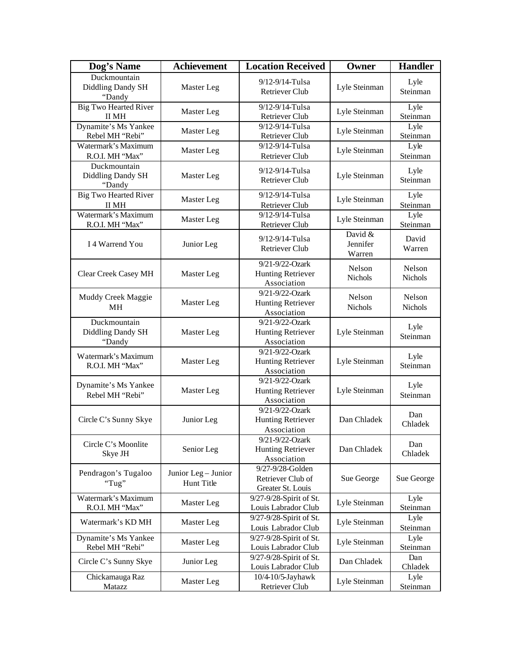| Dog's Name                                  | <b>Achievement</b>                       | <b>Location Received</b>                                   | Owner                         | <b>Handler</b>           |
|---------------------------------------------|------------------------------------------|------------------------------------------------------------|-------------------------------|--------------------------|
| Duckmountain<br>Diddling Dandy SH<br>"Dandy | Master Leg                               | 9/12-9/14-Tulsa<br>Retriever Club                          | Lyle Steinman                 | Lyle<br>Steinman         |
| <b>Big Two Hearted River</b><br>II MH       | Master Leg                               | 9/12-9/14-Tulsa<br>Retriever Club                          | Lyle Steinman                 | Lyle<br>Steinman         |
| Dynamite's Ms Yankee<br>Rebel MH "Rebi"     | Master Leg                               | 9/12-9/14-Tulsa<br>Retriever Club                          | Lyle Steinman                 | Lyle<br>Steinman         |
| Watermark's Maximum<br>R.O.I. MH "Max"      | Master Leg                               | 9/12-9/14-Tulsa<br>Retriever Club                          | Lyle Steinman                 | Lyle<br>Steinman         |
| Duckmountain<br>Diddling Dandy SH<br>"Dandy | Master Leg                               | 9/12-9/14-Tulsa<br>Retriever Club                          | Lyle Steinman                 | Lyle<br>Steinman         |
| <b>Big Two Hearted River</b><br>II MH       | Master Leg                               | 9/12-9/14-Tulsa<br>Retriever Club                          | Lyle Steinman                 | Lyle<br>Steinman         |
| Watermark's Maximum<br>R.O.I. MH "Max"      | Master Leg                               | $\frac{1}{9}$ 12-9/14-Tulsa<br>Retriever Club              | Lyle Steinman                 | Lyle<br>Steinman         |
| I 4 Warrend You                             | Junior Leg                               | 9/12-9/14-Tulsa<br><b>Retriever Club</b>                   | David &<br>Jennifer<br>Warren | David<br>Warren          |
| Clear Creek Casey MH                        | Master Leg                               | 9/21-9/22-Ozark<br><b>Hunting Retriever</b><br>Association | Nelson<br>Nichols             | Nelson<br><b>Nichols</b> |
| Muddy Creek Maggie<br>MH                    | Master Leg                               | 9/21-9/22-Ozark<br><b>Hunting Retriever</b><br>Association | Nelson<br>Nichols             | Nelson<br>Nichols        |
| Duckmountain<br>Diddling Dandy SH<br>"Dandy | Master Leg                               | 9/21-9/22-Ozark<br><b>Hunting Retriever</b><br>Association | Lyle Steinman                 | Lyle<br>Steinman         |
| Watermark's Maximum<br>R.O.I. MH "Max"      | Master Leg                               | 9/21-9/22-Ozark<br><b>Hunting Retriever</b><br>Association | Lyle Steinman                 | Lyle<br>Steinman         |
| Dynamite's Ms Yankee<br>Rebel MH "Rebi"     | Master Leg                               | 9/21-9/22-Ozark<br><b>Hunting Retriever</b><br>Association | Lyle Steinman                 | Lyle<br>Steinman         |
| Circle C's Sunny Skye                       | Junior Leg                               | 9/21-9/22-Ozark<br><b>Hunting Retriever</b><br>Association | Dan Chladek                   | Dan<br>Chladek           |
| Circle C's Moonlite<br>Skye JH              | Senior Leg                               | 9/21-9/22-Ozark<br><b>Hunting Retriever</b><br>Association | Dan Chladek                   | Dan<br>Chladek           |
| Pendragon's Tugaloo<br>"Tug"                | Junior Leg - Junior<br><b>Hunt Title</b> | 9/27-9/28-Golden<br>Retriever Club of<br>Greater St. Louis | Sue George                    | Sue George               |
| Watermark's Maximum<br>R.O.I. MH "Max"      | Master Leg                               | 9/27-9/28-Spirit of St.<br>Louis Labrador Club             | Lyle Steinman                 | Lyle<br>Steinman         |
| Watermark's KD MH                           | Master Leg                               | 9/27-9/28-Spirit of St.<br>Louis Labrador Club             | Lyle Steinman                 | Lyle<br>Steinman         |
| Dynamite's Ms Yankee<br>Rebel MH "Rebi"     | Master Leg                               | 9/27-9/28-Spirit of St.<br>Louis Labrador Club             | Lyle Steinman                 | Lyle<br>Steinman         |
| Circle C's Sunny Skye                       | Junior Leg                               | 9/27-9/28-Spirit of St.<br>Louis Labrador Club             | Dan Chladek                   | Dan<br>Chladek           |
| Chickamauga Raz<br>Matazz                   | Master Leg                               | 10/4-10/5-Jayhawk<br>Retriever Club                        | Lyle Steinman                 | Lyle<br>Steinman         |